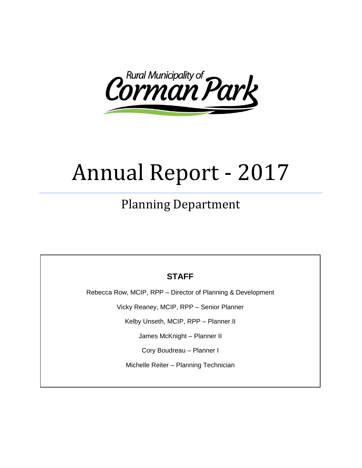

# Annual Report - 2017

# Planning Department

# **STAFF**

Rebecca Row, MCIP, RPP – Director of Planning & Development

Vicky Reaney, MCIP, RPP – Senior Planner

Kelby Unseth, MCIP, RPP – Planner II

James McKnight – Planner II

Cory Boudreau – Planner I

Michelle Reiter – Planning Technician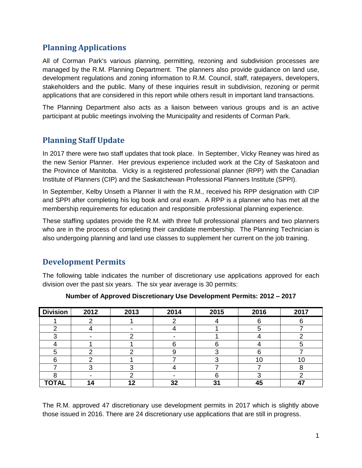# **Planning Applications**

All of Corman Park's various planning, permitting, rezoning and subdivision processes are managed by the R.M. Planning Department. The planners also provide guidance on land use, development regulations and zoning information to R.M. Council, staff, ratepayers, developers, stakeholders and the public. Many of these inquiries result in subdivision, rezoning or permit applications that are considered in this report while others result in important land transactions.

The Planning Department also acts as a liaison between various groups and is an active participant at public meetings involving the Municipality and residents of Corman Park.

# **Planning Staff Update**

In 2017 there were two staff updates that took place. In September, Vicky Reaney was hired as the new Senior Planner. Her previous experience included work at the City of Saskatoon and the Province of Manitoba. Vicky is a registered professional planner (RPP) with the Canadian Institute of Planners (CIP) and the Saskatchewan Professional Planners Institute (SPPI).

In September, Kelby Unseth a Planner II with the R.M., received his RPP designation with CIP and SPPI after completing his log book and oral exam. A RPP is a planner who has met all the membership requirements for education and responsible professional planning experience.

These staffing updates provide the R.M. with three full professional planners and two planners who are in the process of completing their candidate membership. The Planning Technician is also undergoing planning and land use classes to supplement her current on the job training.

# **Development Permits**

The following table indicates the number of discretionary use applications approved for each division over the past six years. The six year average is 30 permits:

| <b>Division</b> | 2012 | 2013 | 2014 | 2015 | 2016 | 2017 |
|-----------------|------|------|------|------|------|------|
|                 |      |      |      |      |      |      |
| ⌒               |      |      |      |      | Э    |      |
|                 |      |      |      |      |      |      |
|                 |      |      |      |      |      |      |
|                 |      |      |      |      |      |      |
|                 |      |      |      |      | 10   | 10   |
|                 |      |      |      |      |      |      |
|                 |      |      |      |      |      |      |
| <b>TOTAL</b>    |      | 12   | 32   | 31   | 45   |      |

**Number of Approved Discretionary Use Development Permits: 2012 – 2017** 

The R.M. approved 47 discretionary use development permits in 2017 which is slightly above those issued in 2016. There are 24 discretionary use applications that are still in progress.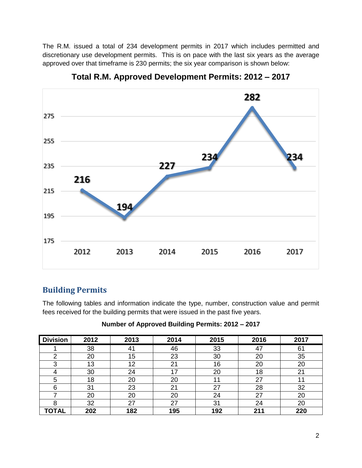The R.M. issued a total of 234 development permits in 2017 which includes permitted and discretionary use development permits. This is on pace with the last six years as the average approved over that timeframe is 230 permits; the six year comparison is shown below:



**Total R.M. Approved Development Permits: 2012 – 2017**

# **Building Permits**

The following tables and information indicate the type, number, construction value and permit fees received for the building permits that were issued in the past five years.

| Number of Approved Building Permits: 2012 - 2017 |  |  |  |  |
|--------------------------------------------------|--|--|--|--|
|--------------------------------------------------|--|--|--|--|

| <b>Division</b> | 2012 | 2013 | 2014 | 2015 | 2016 | 2017 |
|-----------------|------|------|------|------|------|------|
|                 | 38   | 41   | 46   | 33   | 47   | 61   |
| ⌒               | 20   | 15   | 23   | 30   | 20   | 35   |
| 2               | 13   | 12   | 21   | 16   | 20   | 20   |
|                 | 30   | 24   | 17   | 20   | 18   | 21   |
| 5               | 18   | 20   | 20   |      | 27   |      |
| 6               | 31   | 23   | 21   | 27   | 28   | 32   |
|                 | 20   | 20   | 20   | 24   | 27   | 20   |
| റ               | 32   | 27   | 27   | 31   | 24   | 20   |
| <b>TOTAL</b>    | 202  | 182  | 195  | 192  | 211  | 220  |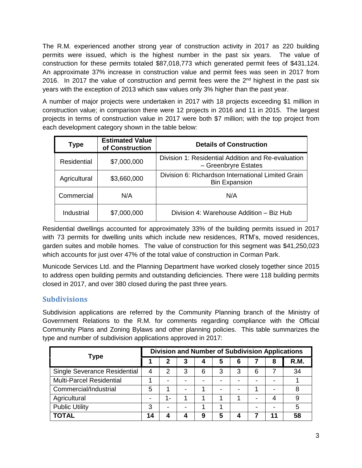The R.M. experienced another strong year of construction activity in 2017 as 220 building permits were issued, which is the highest number in the past six years. The value of construction for these permits totaled \$87,018,773 which generated permit fees of \$431,124. An approximate 37% increase in construction value and permit fees was seen in 2017 from 2016. In 2017 the value of construction and permit fees were the  $2<sup>nd</sup>$  highest in the past six years with the exception of 2013 which saw values only 3% higher than the past year.

A number of major projects were undertaken in 2017 with 18 projects exceeding \$1 million in construction value; in comparison there were 12 projects in 2016 and 11 in 2015. The largest projects in terms of construction value in 2017 were both \$7 million; with the top project from each development category shown in the table below:

| <b>Type</b>  | <b>Estimated Value</b><br>of Construction | <b>Details of Construction</b>                                             |  |  |  |
|--------------|-------------------------------------------|----------------------------------------------------------------------------|--|--|--|
| Residential  | \$7,000,000                               | Division 1: Residential Addition and Re-evaluation<br>- Greenbryre Estates |  |  |  |
| Agricultural | \$3,660,000                               | Division 6: Richardson International Limited Grain<br><b>Bin Expansion</b> |  |  |  |
| Commercial   | N/A                                       | N/A                                                                        |  |  |  |
| Industrial   | \$7,000,000                               | Division 4: Warehouse Addition – Biz Hub                                   |  |  |  |

Residential dwellings accounted for approximately 33% of the building permits issued in 2017 with 73 permits for dwelling units which include new residences, RTM's, moved residences, garden suites and mobile homes. The value of construction for this segment was \$41,250,023 which accounts for just over 47% of the total value of construction in Corman Park.

Municode Services Ltd. and the Planning Department have worked closely together since 2015 to address open building permits and outstanding deficiencies. There were 118 building permits closed in 2017, and over 380 closed during the past three years.

#### **Subdivisions**

Subdivision applications are referred by the Community Planning branch of the Ministry of Government Relations to the R.M. for comments regarding compliance with the Official Community Plans and Zoning Bylaws and other planning policies. This table summarizes the type and number of subdivision applications approved in 2017:

| <b>Type</b>                     |    | <b>Division and Number of Subdivision Applications</b> |   |   |   |   |   |    |      |
|---------------------------------|----|--------------------------------------------------------|---|---|---|---|---|----|------|
|                                 |    | 2                                                      | 3 | 4 | 5 | 6 |   | 8  | R.M. |
| Single Severance Residential    | 4  | $\mathcal{P}$                                          | 3 | 6 | 3 | 3 | 6 |    | 34   |
| <b>Multi-Parcel Residential</b> |    |                                                        |   |   | - |   |   |    |      |
| Commercial/Industrial           | 5  |                                                        | - |   |   |   |   |    | 8    |
| Agricultural                    | -  | $1 -$                                                  |   |   |   |   | - | 4  | 9    |
| <b>Public Utility</b>           | 3  |                                                        | - |   |   |   |   |    | 5    |
| <b>TOTAL</b>                    | 14 |                                                        | 4 | 9 | 5 |   |   | 11 | 58   |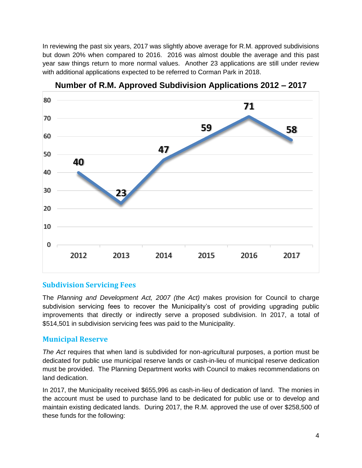In reviewing the past six years, 2017 was slightly above average for R.M. approved subdivisions but down 20% when compared to 2016. 2016 was almost double the average and this past year saw things return to more normal values. Another 23 applications are still under review with additional applications expected to be referred to Corman Park in 2018.



**Number of R.M. Approved Subdivision Applications 2012 – 2017**

#### **Subdivision Servicing Fees**

The *Planning and Development Act, 2007 (the Act)* makes provision for Council to charge subdivision servicing fees to recover the Municipality's cost of providing upgrading public improvements that directly or indirectly serve a proposed subdivision. In 2017, a total of \$514,501 in subdivision servicing fees was paid to the Municipality.

#### **Municipal Reserve**

*The Act* requires that when land is subdivided for non-agricultural purposes, a portion must be dedicated for public use municipal reserve lands or cash-in-lieu of municipal reserve dedication must be provided. The Planning Department works with Council to makes recommendations on land dedication.

In 2017, the Municipality received \$655,996 as cash-in-lieu of dedication of land. The monies in the account must be used to purchase land to be dedicated for public use or to develop and maintain existing dedicated lands. During 2017, the R.M. approved the use of over \$258,500 of these funds for the following: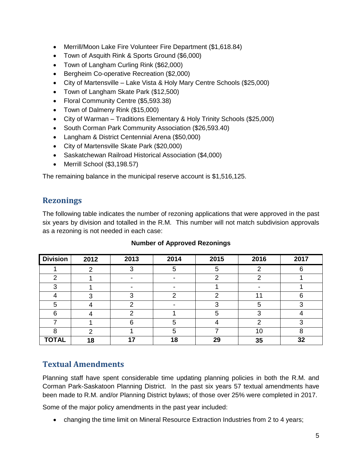- Merrill/Moon Lake Fire Volunteer Fire Department (\$1,618.84)
- Town of Asquith Rink & Sports Ground (\$6,000)
- Town of Langham Curling Rink (\$62,000)
- **Bergheim Co-operative Recreation (\$2,000)**
- City of Martensville Lake Vista & Holy Mary Centre Schools (\$25,000)
- Town of Langham Skate Park (\$12,500)
- Floral Community Centre (\$5,593.38)
- Town of Dalmeny Rink (\$15,000)
- City of Warman Traditions Elementary & Holy Trinity Schools (\$25,000)
- South Corman Park Community Association (\$26,593.40)
- Langham & District Centennial Arena (\$50,000)
- City of Martensville Skate Park (\$20,000)
- Saskatchewan Railroad Historical Association (\$4,000)
- Merrill School (\$3,198.57)

The remaining balance in the municipal reserve account is \$1,516,125.

# **Rezonings**

The following table indicates the number of rezoning applications that were approved in the past six years by division and totalled in the R.M. This number will not match subdivision approvals as a rezoning is not needed in each case:

| <b>Division</b> | 2012 | 2013 | 2014 | 2015 | 2016 | 2017 |
|-----------------|------|------|------|------|------|------|
|                 | ◠    |      | 5    |      |      |      |
| ົ               |      |      |      |      |      |      |
| ◠               |      |      |      |      |      |      |
|                 |      |      | ⌒    |      | 4    | ◠    |
| 5               |      |      |      |      | 5    |      |
| 6               |      |      |      | 5    |      |      |
|                 |      | ี่ค  | 5    |      | ⌒    |      |
| 8               | ⌒    |      | 5    |      | 10   |      |
| <b>TOTAL</b>    | 18   | 17   | 18   | 29   | 35   | 32   |

#### **Number of Approved Rezonings**

# **Textual Amendments**

Planning staff have spent considerable time updating planning policies in both the R.M. and Corman Park-Saskatoon Planning District. In the past six years 57 textual amendments have been made to R.M. and/or Planning District bylaws; of those over 25% were completed in 2017.

Some of the major policy amendments in the past year included:

changing the time limit on Mineral Resource Extraction Industries from 2 to 4 years;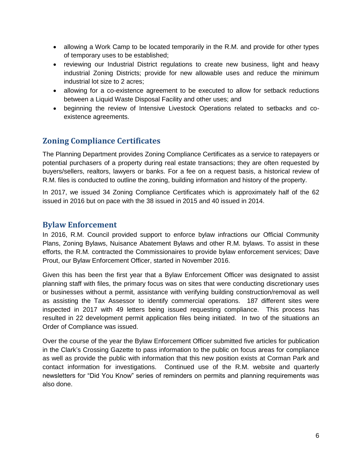- allowing a Work Camp to be located temporarily in the R.M. and provide for other types of temporary uses to be established;
- reviewing our Industrial District regulations to create new business, light and heavy industrial Zoning Districts; provide for new allowable uses and reduce the minimum industrial lot size to 2 acres;
- allowing for a co-existence agreement to be executed to allow for setback reductions between a Liquid Waste Disposal Facility and other uses; and
- beginning the review of Intensive Livestock Operations related to setbacks and coexistence agreements.

# **Zoning Compliance Certificates**

The Planning Department provides Zoning Compliance Certificates as a service to ratepayers or potential purchasers of a property during real estate transactions; they are often requested by buyers/sellers, realtors, lawyers or banks. For a fee on a request basis, a historical review of R.M. files is conducted to outline the zoning, building information and history of the property.

In 2017, we issued 34 Zoning Compliance Certificates which is approximately half of the 62 issued in 2016 but on pace with the 38 issued in 2015 and 40 issued in 2014.

#### **Bylaw Enforcement**

In 2016, R.M. Council provided support to enforce bylaw infractions our Official Community Plans, Zoning Bylaws, Nuisance Abatement Bylaws and other R.M. bylaws. To assist in these efforts, the R.M. contracted the Commissionaires to provide bylaw enforcement services; Dave Prout, our Bylaw Enforcement Officer, started in November 2016.

Given this has been the first year that a Bylaw Enforcement Officer was designated to assist planning staff with files, the primary focus was on sites that were conducting discretionary uses or businesses without a permit, assistance with verifying building construction/removal as well as assisting the Tax Assessor to identify commercial operations. 187 different sites were inspected in 2017 with 49 letters being issued requesting compliance. This process has resulted in 22 development permit application files being initiated. In two of the situations an Order of Compliance was issued.

Over the course of the year the Bylaw Enforcement Officer submitted five articles for publication in the Clark's Crossing Gazette to pass information to the public on focus areas for compliance as well as provide the public with information that this new position exists at Corman Park and contact information for investigations. Continued use of the R.M. website and quarterly newsletters for "Did You Know" series of reminders on permits and planning requirements was also done.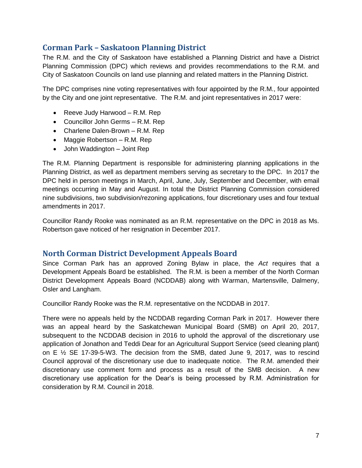# **Corman Park – Saskatoon Planning District**

The R.M. and the City of Saskatoon have established a Planning District and have a District Planning Commission (DPC) which reviews and provides recommendations to the R.M. and City of Saskatoon Councils on land use planning and related matters in the Planning District.

The DPC comprises nine voting representatives with four appointed by the R.M., four appointed by the City and one joint representative. The R.M. and joint representatives in 2017 were:

- Reeve Judy Harwood R.M. Rep
- Councillor John Germs R.M. Rep
- Charlene Dalen-Brown R.M. Rep
- Maggie Robertson R.M. Rep
- John Waddington Joint Rep

The R.M. Planning Department is responsible for administering planning applications in the Planning District, as well as department members serving as secretary to the DPC. In 2017 the DPC held in person meetings in March, April, June, July, September and December, with email meetings occurring in May and August. In total the District Planning Commission considered nine subdivisions, two subdivision/rezoning applications, four discretionary uses and four textual amendments in 2017.

Councillor Randy Rooke was nominated as an R.M. representative on the DPC in 2018 as Ms. Robertson gave noticed of her resignation in December 2017.

#### **North Corman District Development Appeals Board**

Since Corman Park has an approved Zoning Bylaw in place, the *Act* requires that a Development Appeals Board be established. The R.M. is been a member of the North Corman District Development Appeals Board (NCDDAB) along with Warman, Martensville, Dalmeny, Osler and Langham.

Councillor Randy Rooke was the R.M. representative on the NCDDAB in 2017.

There were no appeals held by the NCDDAB regarding Corman Park in 2017. However there was an appeal heard by the Saskatchewan Municipal Board (SMB) on April 20, 2017, subsequent to the NCDDAB decision in 2016 to uphold the approval of the discretionary use application of Jonathon and Teddi Dear for an Agricultural Support Service (seed cleaning plant) on E  $\frac{1}{2}$  SE 17-39-5-W3. The decision from the SMB, dated June 9, 2017, was to rescind Council approval of the discretionary use due to inadequate notice. The R.M. amended their discretionary use comment form and process as a result of the SMB decision. A new discretionary use application for the Dear's is being processed by R.M. Administration for consideration by R.M. Council in 2018.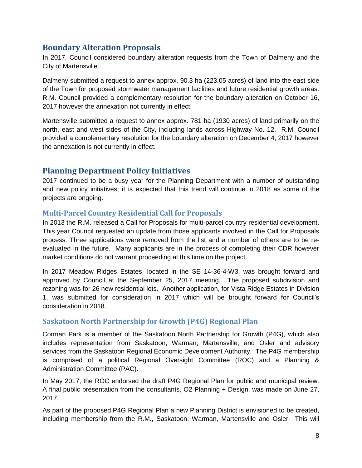# **Boundary Alteration Proposals**

In 2017, Council considered boundary alteration requests from the Town of Dalmeny and the City of Martensville.

Dalmeny submitted a request to annex approx. 90.3 ha (223.05 acres) of land into the east side of the Town for proposed stormwater management facilities and future residential growth areas. R.M. Council provided a complementary resolution for the boundary alteration on October 16, 2017 however the annexation not currently in effect.

Martensville submitted a request to annex approx. 781 ha (1930 acres) of land primarily on the north, east and west sides of the City, including lands across Highway No. 12. R.M. Council provided a complementary resolution for the boundary alteration on December 4, 2017 however the annexation is not currently in effect.

#### **Planning Department Policy Initiatives**

2017 continued to be a busy year for the Planning Department with a number of outstanding and new policy initiatives; it is expected that this trend will continue in 2018 as some of the projects are ongoing.

#### **Multi-Parcel Country Residential Call for Proposals**

In 2013 the R.M. released a Call for Proposals for multi-parcel country residential development. This year Council requested an update from those applicants involved in the Call for Proposals process. Three applications were removed from the list and a number of others are to be reevaluated in the future. Many applicants are in the process of completing their CDR however market conditions do not warrant proceeding at this time on the project.

In 2017 Meadow Ridges Estates, located in the SE 14-36-4-W3, was brought forward and approved by Council at the September 25, 2017 meeting. The proposed subdivision and rezoning was for 26 new residential lots. Another application, for Vista Ridge Estates in Division 1, was submitted for consideration in 2017 which will be brought forward for Council's consideration in 2018.

#### **Saskatoon North Partnership for Growth (P4G) Regional Plan**

Corman Park is a member of the Saskatoon North Partnership for Growth (P4G), which also includes representation from Saskatoon, Warman, Martensville, and Osler and advisory services from the Saskatoon Regional Economic Development Authority. The P4G membership is comprised of a political Regional Oversight Committee (ROC) and a Planning & Administration Committee (PAC).

In May 2017, the ROC endorsed the draft P4G Regional Plan for public and municipal review. A final public presentation from the consultants, O2 Planning + Design, was made on June 27, 2017.

As part of the proposed P4G Regional Plan a new Planning District is envisioned to be created, including membership from the R.M., Saskatoon, Warman, Martensville and Osler. This will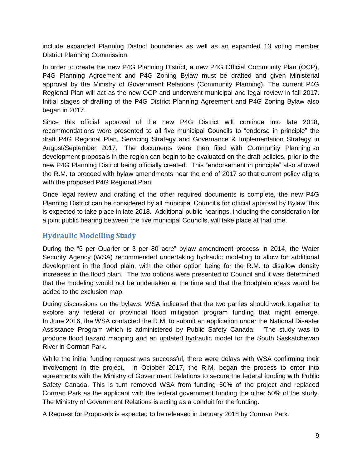include expanded Planning District boundaries as well as an expanded 13 voting member District Planning Commission.

In order to create the new P4G Planning District, a new P4G Official Community Plan (OCP), P4G Planning Agreement and P4G Zoning Bylaw must be drafted and given Ministerial approval by the Ministry of Government Relations (Community Planning). The current P4G Regional Plan will act as the new OCP and underwent municipal and legal review in fall 2017. Initial stages of drafting of the P4G District Planning Agreement and P4G Zoning Bylaw also began in 2017.

Since this official approval of the new P4G District will continue into late 2018, recommendations were presented to all five municipal Councils to "endorse in principle" the draft P4G Regional Plan, Servicing Strategy and Governance & Implementation Strategy in August/September 2017. The documents were then filed with Community Planning so development proposals in the region can begin to be evaluated on the draft policies, prior to the new P4G Planning District being officially created. This "endorsement in principle" also allowed the R.M. to proceed with bylaw amendments near the end of 2017 so that current policy aligns with the proposed P4G Regional Plan.

Once legal review and drafting of the other required documents is complete, the new P4G Planning District can be considered by all municipal Council's for official approval by Bylaw; this is expected to take place in late 2018. Additional public hearings, including the consideration for a joint public hearing between the five municipal Councils, will take place at that time.

#### **Hydraulic Modelling Study**

During the "5 per Quarter or 3 per 80 acre" bylaw amendment process in 2014, the Water Security Agency (WSA) recommended undertaking hydraulic modeling to allow for additional development in the flood plain, with the other option being for the R.M. to disallow density increases in the flood plain. The two options were presented to Council and it was determined that the modeling would not be undertaken at the time and that the floodplain areas would be added to the exclusion map.

During discussions on the bylaws, WSA indicated that the two parties should work together to explore any federal or provincial flood mitigation program funding that might emerge. In June 2016, the WSA contacted the R.M. to submit an application under the National Disaster Assistance Program which is administered by Public Safety Canada. The study was to produce flood hazard mapping and an updated hydraulic model for the South Saskatchewan River in Corman Park.

While the initial funding request was successful, there were delays with WSA confirming their involvement in the project. In October 2017, the R.M. began the process to enter into agreements with the Ministry of Government Relations to secure the federal funding with Public Safety Canada. This is turn removed WSA from funding 50% of the project and replaced Corman Park as the applicant with the federal government funding the other 50% of the study. The Ministry of Government Relations is acting as a conduit for the funding.

A Request for Proposals is expected to be released in January 2018 by Corman Park.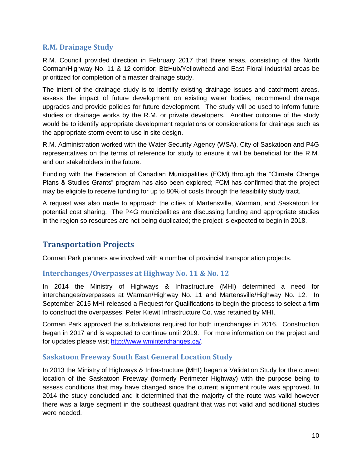#### **R.M. Drainage Study**

R.M. Council provided direction in February 2017 that three areas, consisting of the North Corman/Highway No. 11 & 12 corridor; BizHub/Yellowhead and East Floral industrial areas be prioritized for completion of a master drainage study.

The intent of the drainage study is to identify existing drainage issues and catchment areas, assess the impact of future development on existing water bodies, recommend drainage upgrades and provide policies for future development. The study will be used to inform future studies or drainage works by the R.M. or private developers. Another outcome of the study would be to identify appropriate development regulations or considerations for drainage such as the appropriate storm event to use in site design.

R.M. Administration worked with the Water Security Agency (WSA), City of Saskatoon and P4G representatives on the terms of reference for study to ensure it will be beneficial for the R.M. and our stakeholders in the future.

Funding with the Federation of Canadian Municipalities (FCM) through the "Climate Change Plans & Studies Grants" program has also been explored; FCM has confirmed that the project may be eligible to receive funding for up to 80% of costs through the feasibility study tract.

A request was also made to approach the cities of Martensville, Warman, and Saskatoon for potential cost sharing. The P4G municipalities are discussing funding and appropriate studies in the region so resources are not being duplicated; the project is expected to begin in 2018.

# **Transportation Projects**

Corman Park planners are involved with a number of provincial transportation projects.

#### **Interchanges/Overpasses at Highway No. 11 & No. 12**

In 2014 the Ministry of Highways & Infrastructure (MHI) determined a need for interchanges/overpasses at Warman/Highway No. 11 and Martensville/Highway No. 12. In September 2015 MHI released a Request for Qualifications to begin the process to select a firm to construct the overpasses; Peter Kiewit Infrastructure Co. was retained by MHI.

Corman Park approved the subdivisions required for both interchanges in 2016. Construction began in 2017 and is expected to continue until 2019. For more information on the project and for updates please visit [http://www.wminterchanges.ca/.](http://www.wminterchanges.ca/)

#### **Saskatoon Freeway South East General Location Study**

In 2013 the Ministry of Highways & Infrastructure (MHI) began a Validation Study for the current location of the Saskatoon Freeway (formerly Perimeter Highway) with the purpose being to assess conditions that may have changed since the current alignment route was approved. In 2014 the study concluded and it determined that the majority of the route was valid however there was a large segment in the southeast quadrant that was not valid and additional studies were needed.